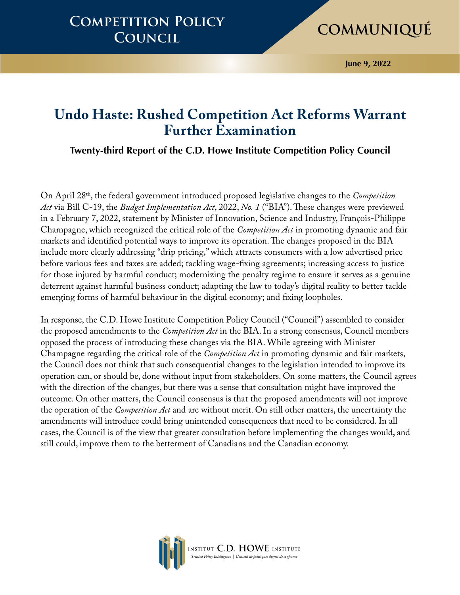### **Competition Policy Council**

# **Communiqué**

**June 9, 2022**

### **Undo Haste: Rushed Competition Act Reforms Warrant Further Examination**

**Twenty-third Report of the C.D. Howe Institute Competition Policy Council**

On April 28th, the federal government introduced proposed legislative changes to the *Competition Act* via Bill C-19, the *Budget Implementation Act*, 2022, *No. 1* ("BIA"). These changes were previewed in a February 7, 2022, statement by Minister of Innovation, Science and Industry, François-Philippe Champagne, which recognized the critical role of the *Competition Act* in promoting dynamic and fair markets and identified potential ways to improve its operation. The changes proposed in the BIA include more clearly addressing "drip pricing," which attracts consumers with a low advertised price before various fees and taxes are added; tackling wage-fixing agreements; increasing access to justice for those injured by harmful conduct; modernizing the penalty regime to ensure it serves as a genuine deterrent against harmful business conduct; adapting the law to today's digital reality to better tackle emerging forms of harmful behaviour in the digital economy; and fixing loopholes.

In response, the C.D. Howe Institute Competition Policy Council ("Council") assembled to consider the proposed amendments to the *Competition Act* in the BIA. In a strong consensus, Council members opposed the process of introducing these changes via the BIA. While agreeing with Minister Champagne regarding the critical role of the *Competition Act* in promoting dynamic and fair markets, the Council does not think that such consequential changes to the legislation intended to improve its operation can, or should be, done without input from stakeholders. On some matters, the Council agrees with the direction of the changes, but there was a sense that consultation might have improved the outcome. On other matters, the Council consensus is that the proposed amendments will not improve the operation of the *Competition Act* and are without merit. On still other matters, the uncertainty the amendments will introduce could bring unintended consequences that need to be considered. In all cases, the Council is of the view that greater consultation before implementing the changes would, and still could, improve them to the betterment of Canadians and the Canadian economy.

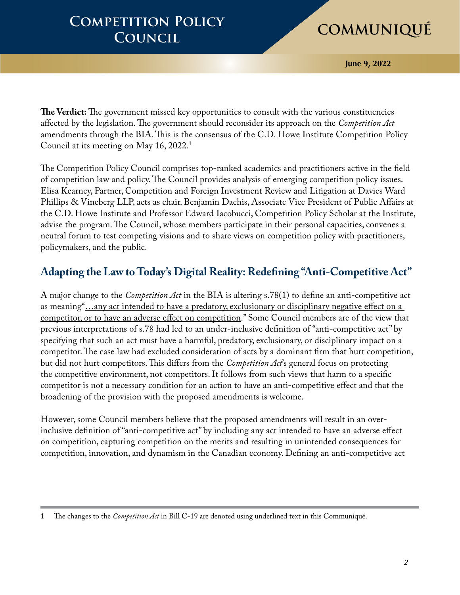**June 9, 2022**

**The Verdict:** The government missed key opportunities to consult with the various constituencies affected by the legislation. The government should reconsider its approach on the *Competition Act*  amendments through the BIA. This is the consensus of the C.D. Howe Institute Competition Policy Council at its meeting on May 16, 2022.**<sup>1</sup>**

The Competition Policy Council comprises top-ranked academics and practitioners active in the field of competition law and policy. The Council provides analysis of emerging competition policy issues. Elisa Kearney, Partner, Competition and Foreign Investment Review and Litigation at Davies Ward Phillips & Vineberg LLP, acts as chair. Benjamin Dachis, Associate Vice President of Public Affairs at the C.D. Howe Institute and Professor Edward Iacobucci, Competition Policy Scholar at the Institute, advise the program. The Council, whose members participate in their personal capacities, convenes a neutral forum to test competing visions and to share views on competition policy with practitioners, policymakers, and the public.

### **Adapting the Law to Today's Digital Reality: Redefining "Anti-Competitive Act"**

A major change to the *Competition Act* in the BIA is altering s.78(1) to define an anti-competitive act as meaning"...any act intended to have a predatory, exclusionary or disciplinary negative effect on a competitor, or to have an adverse effect on competition." Some Council members are of the view that previous interpretations of s.78 had led to an under-inclusive definition of "anti-competitive act" by specifying that such an act must have a harmful, predatory, exclusionary, or disciplinary impact on a competitor. The case law had excluded consideration of acts by a dominant firm that hurt competition, but did not hurt competitors. This differs from the *Competition Act*'s general focus on protecting the competitive environment, not competitors. It follows from such views that harm to a specific competitor is not a necessary condition for an action to have an anti-competitive effect and that the broadening of the provision with the proposed amendments is welcome.

However, some Council members believe that the proposed amendments will result in an overinclusive definition of "anti-competitive act" by including any act intended to have an adverse effect on competition, capturing competition on the merits and resulting in unintended consequences for competition, innovation, and dynamism in the Canadian economy. Defining an anti-competitive act

<sup>1</sup> The changes to the *Competition Act* in Bill C-19 are denoted using underlined text in this Communiqué.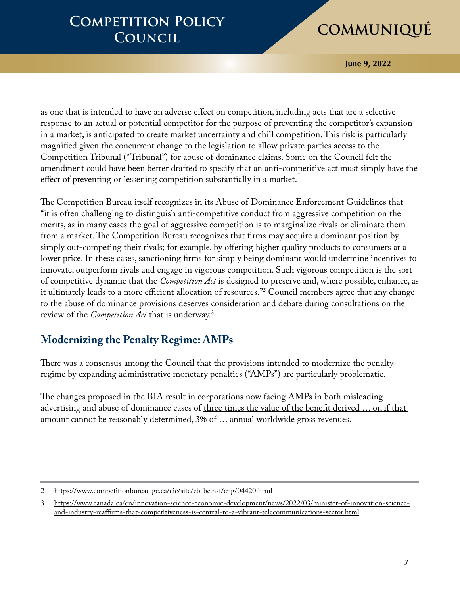**June 9, 2022**

as one that is intended to have an adverse effect on competition, including acts that are a selective response to an actual or potential competitor for the purpose of preventing the competitor's expansion in a market, is anticipated to create market uncertainty and chill competition. This risk is particularly magnified given the concurrent change to the legislation to allow private parties access to the Competition Tribunal ("Tribunal") for abuse of dominance claims. Some on the Council felt the amendment could have been better drafted to specify that an anti-competitive act must simply have the effect of preventing or lessening competition substantially in a market.

The Competition Bureau itself recognizes in its Abuse of Dominance Enforcement Guidelines that "it is often challenging to distinguish anti-competitive conduct from aggressive competition on the merits, as in many cases the goal of aggressive competition is to marginalize rivals or eliminate them from a market. The Competition Bureau recognizes that firms may acquire a dominant position by simply out-competing their rivals; for example, by offering higher quality products to consumers at a lower price. In these cases, sanctioning firms for simply being dominant would undermine incentives to innovate, outperform rivals and engage in vigorous competition. Such vigorous competition is the sort of competitive dynamic that the *Competition Act* is designed to preserve and, where possible, enhance, as it ultimately leads to a more efficient allocation of resources."**<sup>2</sup>** Council members agree that any change to the abuse of dominance provisions deserves consideration and debate during consultations on the review of the *Competition Act* that is underway.**<sup>3</sup>**

### **Modernizing the Penalty Regime: AMPs**

There was a consensus among the Council that the provisions intended to modernize the penalty regime by expanding administrative monetary penalties ("AMPs") are particularly problematic.

The changes proposed in the BIA result in corporations now facing AMPs in both misleading advertising and abuse of dominance cases of three times the value of the benefit derived ... or, if that amount cannot be reasonably determined, 3% of … annual worldwide gross revenues.

<sup>2</sup> <https://www.competitionbureau.gc.ca/eic/site/cb-bc.nsf/eng/04420.html>

<sup>3</sup> [https://www.canada.ca/en/innovation-science-economic-development/news/2022/03/minister-of-innovation-science](https://www.canada.ca/en/innovation-science-economic-development/news/2022/03/minister-of-innovation-science-and-industry-reaffirms-that-competitiveness-is-central-to-a-vibrant-telecommunications-sector.html)[and-industry-reaffirms-that-competitiveness-is-central-to-a-vibrant-telecommunications-sector.html](https://www.canada.ca/en/innovation-science-economic-development/news/2022/03/minister-of-innovation-science-and-industry-reaffirms-that-competitiveness-is-central-to-a-vibrant-telecommunications-sector.html)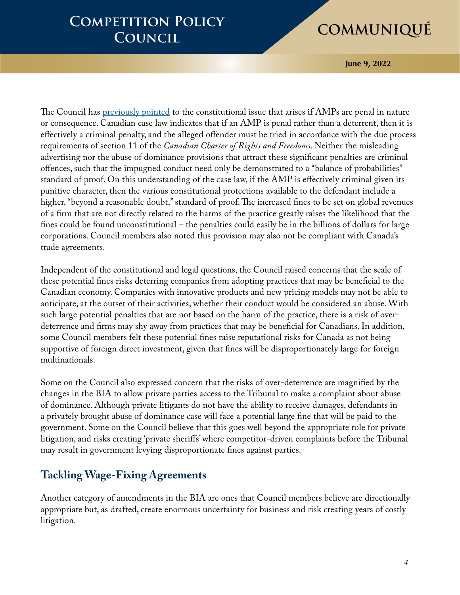**June 9, 2022**

The Council has [previously pointed](https://www.cdhowe.org/sites/default/files/attachments/other-research/pdf/The%20Distortive%20Power%20of%20AMPs%20Why%20the%20Competition%20Bureau%20Must.pdf) to the constitutional issue that arises if AMPs are penal in nature or consequence. Canadian case law indicates that if an AMP is penal rather than a deterrent, then it is effectively a criminal penalty, and the alleged offender must be tried in accordance with the due process requirements of section 11 of the *Canadian Charter of Rights and Freedoms*. Neither the misleading advertising nor the abuse of dominance provisions that attract these significant penalties are criminal offences, such that the impugned conduct need only be demonstrated to a "balance of probabilities" standard of proof. On this understanding of the case law, if the AMP is effectively criminal given its punitive character, then the various constitutional protections available to the defendant include a higher, "beyond a reasonable doubt," standard of proof. The increased fines to be set on global revenues of a firm that are not directly related to the harms of the practice greatly raises the likelihood that the fines could be found unconstitutional – the penalties could easily be in the billions of dollars for large corporations. Council members also noted this provision may also not be compliant with Canada's trade agreements.

Independent of the constitutional and legal questions, the Council raised concerns that the scale of these potential fines risks deterring companies from adopting practices that may be beneficial to the Canadian economy. Companies with innovative products and new pricing models may not be able to anticipate, at the outset of their activities, whether their conduct would be considered an abuse. With such large potential penalties that are not based on the harm of the practice, there is a risk of overdeterrence and firms may shy away from practices that may be beneficial for Canadians. In addition, some Council members felt these potential fines raise reputational risks for Canada as not being supportive of foreign direct investment, given that fines will be disproportionately large for foreign multinationals.

Some on the Council also expressed concern that the risks of over-deterrence are magnified by the changes in the BIA to allow private parties access to the Tribunal to make a complaint about abuse of dominance. Although private litigants do not have the ability to receive damages, defendants in a privately brought abuse of dominance case will face a potential large fine that will be paid to the government. Some on the Council believe that this goes well beyond the appropriate role for private litigation, and risks creating 'private sheriffs' where competitor-driven complaints before the Tribunal may result in government levying disproportionate fines against parties.

### **Tackling Wage-Fixing Agreements**

Another category of amendments in the BIA are ones that Council members believe are directionally appropriate but, as drafted, create enormous uncertainty for business and risk creating years of costly litigation.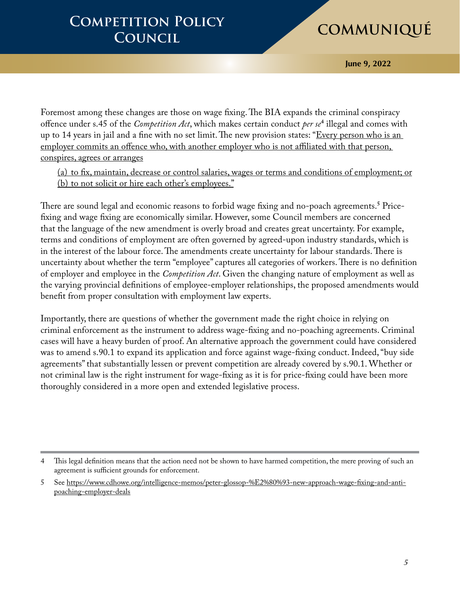**June 9, 2022**

Foremost among these changes are those on wage fixing. The BIA expands the criminal conspiracy offence under s.45 of the *Competition Act*, which makes certain conduct *per se***<sup>4</sup>** illegal and comes with up to 14 years in jail and a fine with no set limit. The new provision states: "Every person who is an employer commits an offence who, with another employer who is not affiliated with that person, conspires, agrees or arranges

(a) to fix, maintain, decrease or control salaries, wages or terms and conditions of employment; or (b) to not solicit or hire each other's employees."

There are sound legal and economic reasons to forbid wage fixing and no-poach agreements.**<sup>5</sup>** Pricefixing and wage fixing are economically similar. However, some Council members are concerned that the language of the new amendment is overly broad and creates great uncertainty. For example, terms and conditions of employment are often governed by agreed-upon industry standards, which is in the interest of the labour force. The amendments create uncertainty for labour standards. There is uncertainty about whether the term "employee" captures all categories of workers. There is no definition of employer and employee in the *Competition Act*. Given the changing nature of employment as well as the varying provincial definitions of employee-employer relationships, the proposed amendments would benefit from proper consultation with employment law experts.

Importantly, there are questions of whether the government made the right choice in relying on criminal enforcement as the instrument to address wage-fixing and no-poaching agreements. Criminal cases will have a heavy burden of proof. An alternative approach the government could have considered was to amend s.90.1 to expand its application and force against wage-fixing conduct. Indeed, "buy side agreements" that substantially lessen or prevent competition are already covered by s.90.1. Whether or not criminal law is the right instrument for wage-fixing as it is for price-fixing could have been more thoroughly considered in a more open and extended legislative process.

<sup>4</sup> This legal definition means that the action need not be shown to have harmed competition, the mere proving of such an agreement is sufficient grounds for enforcement.

<sup>5</sup> See [https://www.cdhowe.org/intelligence-memos/peter-glossop-%E2%80%93-new-approach-wage-fixing-and-anti](https://www.cdhowe.org/intelligence-memos/peter-glossop-%E2%80%93-new-approach-wage-fixing-and-anti-poaching-employer-deals)[poaching-employer-deals](https://www.cdhowe.org/intelligence-memos/peter-glossop-%E2%80%93-new-approach-wage-fixing-and-anti-poaching-employer-deals)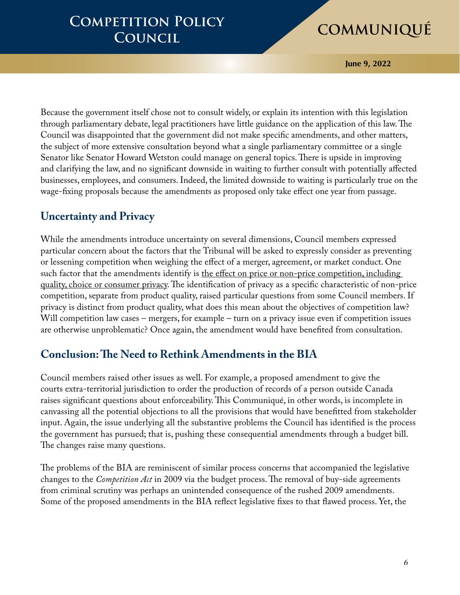**June 9, 2022**

Because the government itself chose not to consult widely, or explain its intention with this legislation through parliamentary debate, legal practitioners have little guidance on the application of this law. The Council was disappointed that the government did not make specific amendments, and other matters, the subject of more extensive consultation beyond what a single parliamentary committee or a single Senator like Senator Howard Wetston could manage on general topics. There is upside in improving and clarifying the law, and no significant downside in waiting to further consult with potentially affected businesses, employees, and consumers. Indeed, the limited downside to waiting is particularly true on the wage-fixing proposals because the amendments as proposed only take effect one year from passage.

### **Uncertainty and Privacy**

While the amendments introduce uncertainty on several dimensions, Council members expressed particular concern about the factors that the Tribunal will be asked to expressly consider as preventing or lessening competition when weighing the effect of a merger, agreement, or market conduct. One such factor that the amendments identify is the effect on price or non-price competition, including quality, choice or consumer privacy. The identification of privacy as a specific characteristic of non-price competition, separate from product quality, raised particular questions from some Council members. If privacy is distinct from product quality, what does this mean about the objectives of competition law? Will competition law cases – mergers, for example – turn on a privacy issue even if competition issues are otherwise unproblematic? Once again, the amendment would have benefited from consultation.

### **Conclusion: The Need to Rethink Amendments in the BIA**

Council members raised other issues as well. For example, a proposed amendment to give the courts extra-territorial jurisdiction to order the production of records of a person outside Canada raises significant questions about enforceability. This Communiqué, in other words, is incomplete in canvassing all the potential objections to all the provisions that would have benefitted from stakeholder input. Again, the issue underlying all the substantive problems the Council has identified is the process the government has pursued; that is, pushing these consequential amendments through a budget bill. The changes raise many questions.

The problems of the BIA are reminiscent of similar process concerns that accompanied the legislative changes to the *Competition Act* in 2009 via the budget process. The removal of buy-side agreements from criminal scrutiny was perhaps an unintended consequence of the rushed 2009 amendments. Some of the proposed amendments in the BIA reflect legislative fixes to that flawed process. Yet, the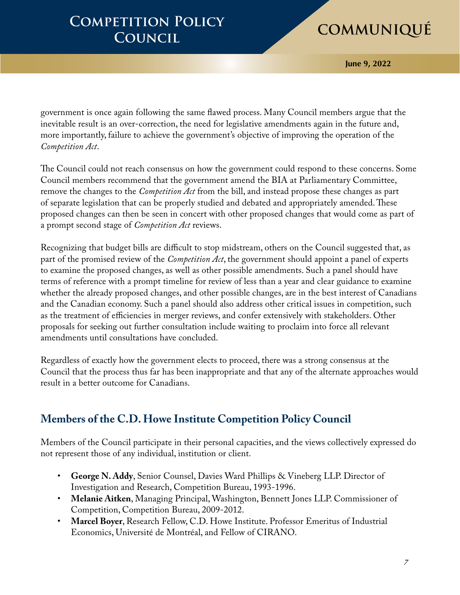**June 9, 2022**

government is once again following the same flawed process. Many Council members argue that the inevitable result is an over-correction, the need for legislative amendments again in the future and, more importantly, failure to achieve the government's objective of improving the operation of the *Competition Act*.

The Council could not reach consensus on how the government could respond to these concerns. Some Council members recommend that the government amend the BIA at Parliamentary Committee, remove the changes to the *Competition Act* from the bill, and instead propose these changes as part of separate legislation that can be properly studied and debated and appropriately amended. These proposed changes can then be seen in concert with other proposed changes that would come as part of a prompt second stage of *Competition Act* reviews.

Recognizing that budget bills are difficult to stop midstream, others on the Council suggested that, as part of the promised review of the *Competition Act*, the government should appoint a panel of experts to examine the proposed changes, as well as other possible amendments. Such a panel should have terms of reference with a prompt timeline for review of less than a year and clear guidance to examine whether the already proposed changes, and other possible changes, are in the best interest of Canadians and the Canadian economy. Such a panel should also address other critical issues in competition, such as the treatment of efficiencies in merger reviews, and confer extensively with stakeholders. Other proposals for seeking out further consultation include waiting to proclaim into force all relevant amendments until consultations have concluded.

Regardless of exactly how the government elects to proceed, there was a strong consensus at the Council that the process thus far has been inappropriate and that any of the alternate approaches would result in a better outcome for Canadians.

### **Members of the C.D. Howe Institute Competition Policy Council**

Members of the Council participate in their personal capacities, and the views collectively expressed do not represent those of any individual, institution or client.

- **George N. Addy**, Senior Counsel, Davies Ward Phillips & Vineberg LLP. Director of Investigation and Research, Competition Bureau, 1993-1996.
- **Melanie Aitken**, Managing Principal, Washington, Bennett Jones LLP. Commissioner of Competition, Competition Bureau, 2009-2012.
- **Marcel Boyer**, Research Fellow, C.D. Howe Institute. Professor Emeritus of Industrial Economics, Université de Montréal, and Fellow of CIRANO.